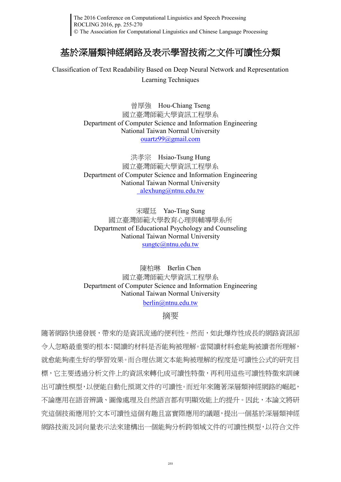The 2016 Conference on Computational Linguistics and Speech Processing ROCLING 2016, pp. 255-270 The Association for Computational Linguistics and Chinese Language Processing

# 基於深層類神經網路及表示學習技術之文件可讀性分類

Classification of Text Readability Based on Deep Neural Network and Representation Learning Techniques

> 曾厚強 Hou-Chiang Tseng 國立臺灣師範大學資訊工程學系 Department of Computer Science and Information Engineering National Taiwan Normal University [ouartz99@gmail.com](mailto:ouartz99@gmail.com)

> 洪孝宗 Hsiao-Tsung Hung 國立臺灣師範大學資訊工程學系 Department of Computer Science and Information Engineering National Taiwan Normal University [alexhung@ntnu.edu.tw](mailto:%20alexhung@ntnu.edu.tw)

宋曜廷 Yao-Ting Sung 國立臺灣師範大學教育心理與輔導學系所 Department of Educational Psychology and Counseling National Taiwan Normal University [sungtc@ntnu.edu.tw](mailto:sungtc@ntnu.edu.tw)

陳柏琳 Berlin Chen 國立臺灣師範大學資訊工程學系 Department of Computer Science and Information Engineering National Taiwan Normal University

[berlin@ntnu.edu.tw](mailto:berlin@ntnu.edu.tw)

摘要

隨著網路快速發展,帶來的是資訊流通的便利性。然而,如此爆炸性成長的網路資訊卻 令人忽略最重要的根本:閱讀的材料是否能夠被理解。當閱讀材料愈能夠被讀者所理解, 就愈能夠產生好的學習效果。而合理估測文本能夠被理解的程度是可讀性公式的研究目 標,它主要透過分析文件上的資訊來轉化成可讀性特徵,再利用這些可讀性特徵來訓練 出可讀性模型,以便能自動化預測文件的可讀性。而近年來隨著深層類神經網路的崛起, 不論應用在語音辨識、圖像處理及自然語言都有明顯效能上的提升。因此,本論文將研 究這個技術應用於文本可讀性這個有趣且富實際應用的議題,提出一個基於深層類神經 網路技術及詞向量表示法來建構出一個能夠分析跨領域文件的可讀性模型,以符合文件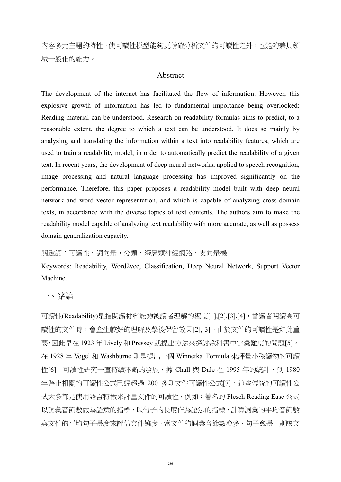內容多元主題的特性。使可讀性模型能夠更精確分析文件的可讀性之外,也能夠兼具領 域一般化的能力。

#### Abstract

The development of the internet has facilitated the flow of information. However, this explosive growth of information has led to fundamental importance being overlooked: Reading material can be understood. Research on readability formulas aims to predict, to a reasonable extent, the degree to which a text can be understood. It does so mainly by analyzing and translating the information within a text into readability features, which are used to train a readability model, in order to automatically predict the readability of a given text. In recent years, the development of deep neural networks, applied to speech recognition, image processing and natural language processing has improved significantly on the performance. Therefore, this paper proposes a readability model built with deep neural network and word vector representation, and which is capable of analyzing cross-domain texts, in accordance with the diverse topics of text contents. The authors aim to make the readability model capable of analyzing text readability with more accurate, as well as possess domain generalization capacity.

關鍵詞:可讀性,詞向量,分類,深層類神經網路,支向量機

Keywords: Readability, Word2vec, Classification, Deep Neural Network, Support Vector Machine.

一、緒論

可讀性(Readability)是指閱讀材料能夠被讀者理解的程度[\[1\]](#page-12-0)[,\[2\]](#page-12-1)[,\[3\]](#page-12-2)[,\[4\]](#page-12-3),當讀者閱讀高可 讀性的文件時,會產生較好的理解及學後保留效果[\[2\]](#page-12-1)[,\[3\]](#page-12-2)。由於文件的可讀性是如此重 要,因此早在 1923 年 Lively 和 Pressey 就提出方法來探討教科書中字彙難度的問題[\[5\]](#page-12-4)。 在 1928 年 Vogel 和 Washburne 則是提出一個 Winnetka Formula 來評量小孩讀物的可讀 性[\[6\]](#page-12-5)。可讀性研究一直持續不斷的發展,據 Chall 與 Dale 在 1995 年的統計,到 1980 年為止相關的可讀性公式已經超過 200 多則文件可讀性公式[\[7\]](#page-12-6)。這些傳統的可讀性公 式大多都是使用語言特徵來評量文件的可讀性,例如:著名的 Flesch Reading Ease 公式 以詞彙音節數做為語意的指標,以句子的長度作為語法的指標,計算詞彙的平均音節數 與文件的平均句子長度來評估文件難度,當文件的詞彙音節數愈多、句子愈長,則該文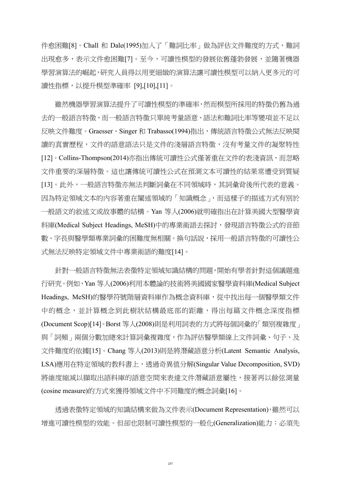件愈困難[\[8\]](#page-12-7)。Chall 和 Dale(1995)加入了「難詞比率」做為評估文件難度的方式,難詞 出現愈多,表示文件愈困難[\[7\]](#page-12-6)。至今,可讀性模型的發展依舊蓬勃發展,並隨著機器 學習演算法的崛起,研究人員得以用更細緻的演算法讓可讀性模型可以納入更多元的可 讀性指標,以提升模型準確率 [\[9\]](#page-12-8)[,\[10\]](#page-13-0)[,\[11\]](#page-13-1)。

雖然機器學習演算法提升了可讀性模型的準確率,然而模型所採用的特徵仍舊為過 去的一般語言特徵,而一般語言特徵只單純考量語意、語法和難詞比率等變項並不足以 反映文件難度。Graesser、Singer 和 Trabasso(1994)指出,傳統語言特徵公式無法反映閱 讀的真實歷程,文件的語意語法只是文件的淺層語言特徵,沒有考量文件的凝聚特性 [\[12\]](#page-13-2)。Collins-Thompson(2014)亦指出傳統可讀性公式僅著重在文件的表淺資訊,而忽略 文件重要的深層特徵。這也讓傳統可讀性公式在預測文本可讀性的結果常遭受到質疑 [\[13\]](#page-13-3)。此外,一般語言特徵亦無法判斷詞彙在不同領域時,其詞彙背後所代表的意義。 因為特定領域文本的內容著重在闡述領域的「知識概念」,而這樣子的描述方式有別於 一般語文的敘述文或故事體的結構。Yan 等人(2006)就明確指出在計算美國大型醫學資 料庫(Medical Subject Headings, MeSH)中的專業術語去探討,發現語言特徵公式的音節 數、字長與醫學類專業詞彙的困難度無相關。換句話說,採用一般語言特徵的可讀性公 式無法反映特定領域文件中專業術語的難度[\[14\]](#page-13-4)。

針對一般語言特徵無法表徵特定領域知識結構的問題,開始有學者針對這個議題進 行研究。例如,Yan 等人(2006)利用本體論的技術將美國國家醫學資料庫(Medical Subject Headings, MeSH)的醫學符號階層資料庫作為概念資料庫,從中找出每一個醫學類文件 中的概念,並計算概念到此樹狀結構最底部的距離,得出每篇文件概念深度指標 (Document Scop[\)\[14\]](#page-13-4)。Borst 等人(2008)則是利用詞表的方式將每個詞彙的「類別複雜度」 與「詞頻」兩個分數加總來計算詞彙複雜度,作為評估醫學類線上文件詞彙、句子、及 文件難度的依據[\[15\]](#page-13-5)。Chang 等人(2013)則是將潛藏語意分析(Latent Semantic Analysis, LSA)應用在特定領域的教科書上,透過奇異值分解(Singular Value Decomposition, SVD) 將維度縮減以擷取出語料庫的語意空間來表達文件潛藏語意屬性,接著再以餘弦測量 (cosine measure)的方式來獲得領域文件中不同難度的概念詞彙[\[16\]](#page-13-6)。

透過表徵特定領域的知識結構來做為文件表示(Document Representation),雖然可以 增進可讀性模型的效能。但卻也限制可讀性模型的一般化(Generalization)能力:必須先

257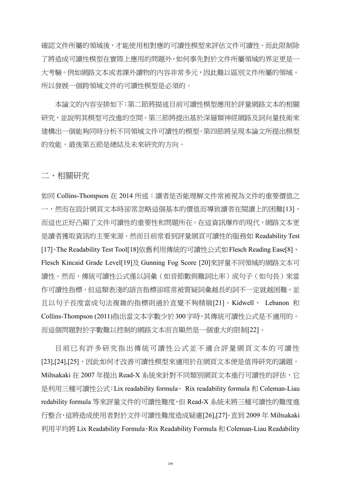確認文件所屬的領域後,才能使用相對應的可讀性模型來評估文件可讀性。而此限制除 了將造成可讀性模型在實際上應用的問題外,如何事先對於文件所屬領域的界定更是一 大考驗。例如網路文本或者課外讀物的內容非常多元,因此難以區別文件所屬的領域。 所以發展一個跨領域文件的可讀性模型是必須的。

本論文的內容安排如下:第二節將描述目前可讀性模型應用於評量網路文本的相關 研究,並說明其模型可改進的空間。第三節將提出基於深層類神經網路及詞向量技術來 建構出一個能夠同時分析不同領域文件可讀性的模型。第四節將呈現本論文所提出模型 的效能。最後第五節是總結及未來研究的方向。

二、相關研究

如同 Collins-Thompson 在 2014 所述: 讀者是否能理解文件常被視為文件的重要價值之 一,然而在設計網頁文本時卻常忽略這個基本的價值而導致讀者在閱讀上的困難[\[13\]](#page-13-3), 而這也正好凸顯了文件可讀性的重要性和問題所在。在這資訊爆炸的現代,網路文本更 是讀者獲取資訊的主要來源。然而目前常看到評量網頁可讀性的服務如 Readability Test [\[17\]](#page-13-7)、The Readability Test Too[l\[18\]](#page-13-8)依舊利用傳統的可讀性公式如Flesch Reading Eas[e\[8\]](#page-12-7)、 Flesch Kincaid Grade Leve[l\[19\]](#page-13-9)及 Gunning Fog Score [\[20\]](#page-13-10)來評量不同領域的網路文本可 讀性。然而,傳統可讀性公式僅以詞彙(如音節數與難詞比率)或句子(如句長)來當 作可讀性指標,但這類表淺的語言指標卻經常被質疑詞彙越長的詞不一定就越困難,並 且以句子長度當成句法複雜的指標則過於直覺不夠精緻[\[21\]](#page-13-11)。Kidwell、 Lebanon 和 Collins-Thompson (2011)指出當文本字數少於300字時,其傳統可讀性公式是不適用的。 而這個問題對於字數難以控制的網路文本而言顯然是一個重大的限制[\[22\]](#page-13-12)。

目前已有許多研究指出傳統可讀性公式並不適合評量網頁文本的可讀性 [\[23\]](#page-13-13)[,\[24\]](#page-13-14)[,\[25\]](#page-14-0),因此如何才改善可讀性模型來適用於在網頁文本便是值得研究的議題。 Miltsakaki 在 2007 年提出 Read-X 系統來針對不同類別網頁文本進行可讀性的評估, 它 是利用三種可讀性公式:Lix readability formula、 Rix readability formula 和 Coleman-Liau redability formula 等來評量文件的可讀性難度,但 Read-X 系統未將三種可讀性的難度進 行整合,這將造成使用者對於文件可讀性難度造成疑慮[\[26\]](#page-14-1)[,\[27\]](#page-14-2)。直到 2009 年 Miltsakaki 利用平均將 Lix Readability Formula、Rix Readability Formula 和 Coleman-Liau Readability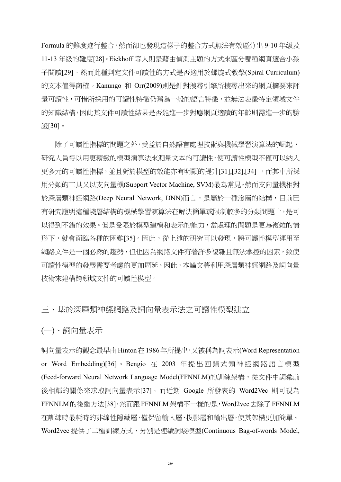Formula 的難度進行整合,然而卻也發現這樣子的整合方式無法有效區分出 9-10 年級及 11-13 年級的難度[\[28\]](#page-14-3)。Eickhoff 等人則是藉由偵測主題的方式來區分哪種網頁適合小孩 子閱讀[\[29\]](#page-14-4)。然而此種判定文件可讀性的方式是否適用於螺旋式教學(Spiral Curriculum) 的文本值得商榷。Kanungo 和 Orr(2009)則是針對搜尋引擎所搜尋出來的網頁摘要來評 量可讀性,可惜所採用的可讀性特徵仍舊為一般的語言特徵,並無法表徵特定領域文件 的知識結構,因此其文件可讀性結果是否能進一步對應網頁適讀的年齡則需進一步的驗 證[\[30\]](#page-14-5)。

除了可讀性指標的問題之外,受益於自然語言處理技術與機械學習演算法的崛起, 研究人員得以用更精緻的模型演算法來測量文本的可讀性,使可讀性模型不僅可以納入 更多元的可讀性指標,並且對於模型的效能亦有明顯的提升[\[31\]](#page-14-6)[,\[32\]](#page-14-7)[,\[34\]](#page-14-8) ,而其中所採 用分類的工具又以支向量機(Support Vector Machine, SVM)最為常見。然而支向量機相對 於深層類神經網路(Deep Neural Network, DNN)而言,是屬於一種淺層的結構,目前已 有研究證明這種淺層結構的機械學習演算法在解決簡單或限制較多的分類問題上,是可 以得到不錯的效果。但是受限於模型建模和表示的能力,當處理的問題是更為複雜的情 形下,就會面臨各種的困難[\[35\]](#page-14-9)。因此,從上述的研究可以發現,將可讀性模型運用至 網路文件是一個必然的趨勢,但也因為網路文件有著許多複雜且無法掌控的因素,致使 可讀性模型的發展需要考慮的更加周延。因此,本論文將利用深層類神經網路及詞向量 技術來建構跨領域文件的可讀性模型。

#### 三、基於深層類神經網路及詞向量表示法之可讀性模型建立

(一)、詞向量表示

詞向量表示的觀念最早由Hinton在1986年所提出,又被稱為詞表示(Word Representation or Word Embedding[\)\[36\]](#page-14-10) 。 Bengio 在 2003 年提出回饋式類神經網路語言模型 (Feed-forward Neural Network Language Model(FFNNLM)的訓練架構,從文件中詞彙前 後相鄰的關係來求取詞向量表示[\[37\]](#page-14-11)。而近期 Google 所發表的 Word2Vec 則可視為 FFNNLM的後繼方法[\[38\]](#page-15-0)。然而跟FFNNLM架構不一樣的是,Word2vec去除了FFNNLM 在訓練時最耗時的非線性隱藏層,僅保留輸入層、投影層和輸出層,使其架構更加簡單。 Word2vec 提供了二種訓練方式,分別是連續詞袋模型(Continuous Bag-of-words Model,

 $259$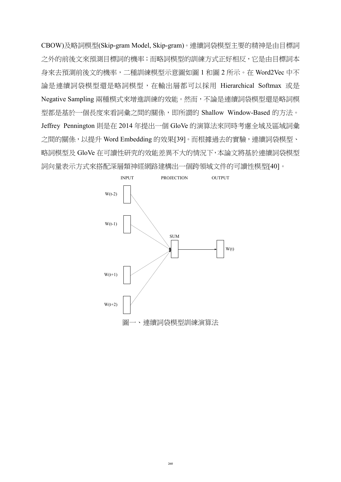CBOW)及略詞模型(Skip-gram Model, Skip-gram)。連續詞袋模型主要的精神是由目標詞 之外的前後文來預測目標詞的機率;而略詞模型的訓練方式正好相反,它是由目標詞本 身來去預測前後文的機率,二種訓練模型示意圖如圖 1 和圖 2 所示。在 Word2Vec 中不 論是連續詞袋模型還是略詞模型,在輸出層都可以採用 Hierarchical Softmax 或是 Negative Sampling 兩種模式來增進訓練的效能。然而,不論是連續詞袋模型還是略詞模 型都是基於一個長度來看詞彙之間的關係,即所謂的 Shallow Window-Based 的方法。 Jeffrey Pennington 則是在 2014 年提出一個 GloVe 的演算法來同時考慮全域及區域詞彙 之間的關係,以提升 Word Embedding 的效果[\[39\]](#page-15-1)。而根據過去的實驗,連續詞袋模型、 略詞模型及 GloVe 在可讀性研究的效能差異不大的情況下,本論文將基於連續詞袋模型 詞向量表示方式來搭配深層類神經網路建構出一個跨領域文件的可讀性模型[\[40\]](#page-15-2)。

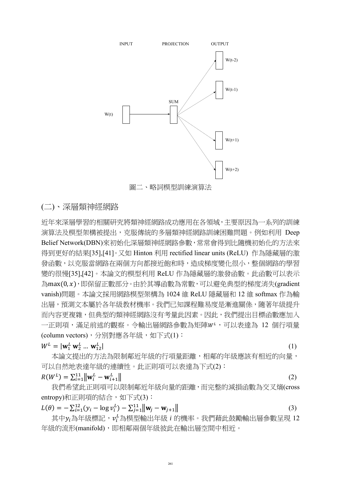

(二)、深層類神經網路

近年來深層學習的相關研究將類神經網路成功應用在各領域,主要原因為一系列的訓練 演算法及模型架構被提出,克服傳統的多層類神經網路訓練困難問題。例如利用 Deep Belief Network(DBN)來初始化深層類神經網路參數,常常會得到比隨機初始化的方法來 得到更好的結果[\[35\]](#page-14-9)[,\[41\]](#page-15-3)。又如 Hinton 利用 rectified linear units (ReLU) 作為隱藏層的激 發函數,以克服當網路在兩個方向都接近飽和時,造成梯度變化很小,整個網路的學習 變的很慢[\[35\]](#page-14-9)[,\[42\]](#page-15-4)。本論文的模型利用 ReLU 作為隱藏層的激發函數。此函數可以表示 為max(0,x),即保留正數部分。由於其導函數為常數,可以避免典型的梯度消失(gradient vanish)問題。本論文採用網路模型架構為 1024 維 ReLU 隱藏層和 12 維 softmax 作為輸 出層,預測文本屬於各年級教材機率。我們已知課程難易度是漸進關係,隨著年級提升 而內容更複雜,但典型的類神經網路沒有考量此因素。因此,我們提出目標函數應加入 一正則項,滿足前述的觀察。今輸出層網路參數為矩陣WL,可以表達為 12 個行項量 (column vectors),分別對應各年級,如下式(1):

$$
W^{L} = |\mathbf{w}_{1}^{L} \mathbf{w}_{2}^{L} ... \mathbf{w}_{12}^{L}|
$$

 $\vert$  (1)

本論文提出的方法為限制鄰近年級的行項量距離,相鄰的年級應該有相近的向量, 可以自然地表達年級的連續性。此正則項可以表達為下式(2):

 $R(W^L) = \sum_{i=1}^{11} ||\mathbf{w}_i^L - \mathbf{w}_{i+1}^L||$  (2)

我們希望此正則項可以限制鄰近年級向量的距離,而完整的減損函數為交叉熵(cross entropy)和正則項的結合,如下式(3):

$$
L(\theta) = -\sum_{i=1}^{12} (y_i - \log v_i^L) - \sum_{j=1}^{11} ||\mathbf{w}_j - \mathbf{w}_{j+1}||
$$
 (3)

其中 $y_i$ 為年級標記, $v_i^L$ 為模型輸出年級 $\,i$  的機率。我們藉此鼓勵輸出層參數呈現 12 年級的流形(manifold),即相鄰兩個年級彼此在輸出層空間中相近。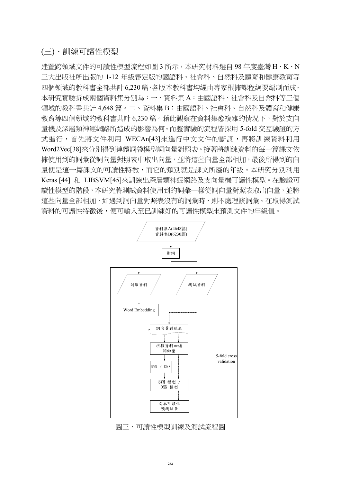### (三)、訓練可讀性模型

建置跨領域文件的可讀性模型流程如圖 3 所示,本研究材料選自 98 年度臺灣 H、K、N 三大出版社所出版的 1-12 年級審定版的國語科、社會科、自然科及體育和健康教育等 四個領域的教科書全部共計 6,230 篇,各版本教科書均經由專家根據課程綱要編制而成。 本研究實驗拆成兩個資料集分別為:一、資料集 A:由國語科、社會科及自然科等三個 領域的教科書共計 4,648 篇。二、資料集 B:由國語科、社會科、自然科及體育和健康 教育等四個領域的教科書共計 6,230 篇。藉此觀察在資料集愈複雜的情況下,對於支向 量機及深層類神經網路所造成的影響為何。而整實驗的流程皆採用 5-fold 交互驗證的方 式進行,首先將文件利用 WECA[n\[43\]](#page-15-5)來進行中文文件的斷詞,再將訓練資料利用 Word2Ve[c\[38\]](#page-15-0)來分別得到連續詞袋模型詞向量對照表。接著將訓練資料的每一篇課文依 據使用到的詞彙從詞向量對照表中取出向量,並將這些向量全部相加,最後所得到的向 量便是這一篇課文的可讀性特徵,而它的類別就是課文所屬的年級。本研究分別利用 Keras [\[44\]](#page-15-6) 和 LIBSV[M\[45\]](#page-15-7)來訓練出深層類神經網路及支向量機可讀性模型。在驗證可 讀性模型的階段,本研究將測試資料使用到的詞彙一樣從詞向量對照表取出向量,並將 這些向量全部相加,如遇到詞向量對照表沒有的詞彙時,則不處理該詞彙。在取得測試 資料的可讀性特徵後,便可輸入至已訓練好的可讀性模型來預測文件的年級值。



圖三、可讀性模型訓練及測試流程圖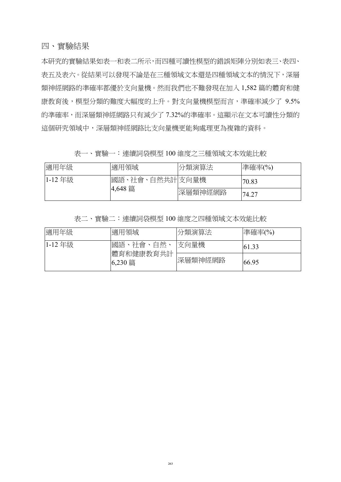本研究的實驗結果如表一和表二所示,而四種可讀性模型的錯誤矩陣分別如表三、表四、 表五及表六。從結果可以發現不論是在三種領域文本還是四種領域文本的情況下,深層 類神經網路的準確率都優於支向量機。然而我們也不難發現在加入 1,582 篇的體育和健 康教育後,模型分類的難度大幅度的上升。對支向量機模型而言,準確率減少了 9.5% 的準確率,而深層類神經網路只有減少了 7.32%的準確率。這顯示在文本可讀性分類的 這個研究領域中,深層類神經網路比支向量機更能夠處理更為複雜的資料。

表一、實驗一:連續詞袋模型 100 維度之三種領域文本效能比較

| 適用年級   | 適用領域           | 分類演算法   | 準確率(%) |
|--------|----------------|---------|--------|
| 1-12年級 | 國語、社會、自然共計支向量機 |         | 70.83  |
|        | 4,648 篇        | 深層類神經網路 | 74.27  |

表二、實驗二:連續詞袋模型 100 維度之四種領域文本效能比較

| 適用年級         | 適用領域                 | 分類演算法   | 準確率(%) |
|--------------|----------------------|---------|--------|
| $ 1 - 12$ 年級 | 國語、社會、自然、            | 支向量機    | 61.33  |
|              | 體育和健康教育共計<br>6,230 篇 | 深層類神經網路 | 66.95  |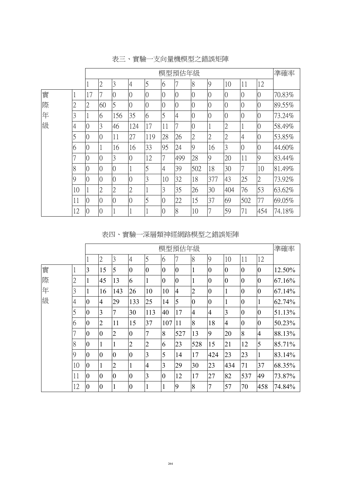|   |                |                | 模型預估年級         |                 |                |                |                |                |                |                |                |                |                | 準確率    |
|---|----------------|----------------|----------------|-----------------|----------------|----------------|----------------|----------------|----------------|----------------|----------------|----------------|----------------|--------|
|   |                |                | $\overline{2}$ | 3               | $\overline{4}$ | $\overline{5}$ | 6              | 7              | 8              | 9              | 10             | 11             | 12             |        |
| 實 |                | 17             |                | $\overline{0}$  | $\overline{0}$ | $\overline{0}$ | $\overline{0}$ | $\overline{0}$ | $\overline{0}$ | $\overline{0}$ | $\overline{0}$ | $\overline{0}$ | $\overline{0}$ | 70.83% |
| 際 | ↑<br>∠         | $\overline{2}$ | 60             | 5               | $\overline{0}$ | $\overline{0}$ | $\overline{0}$ | $\overline{0}$ | $\overline{0}$ | $\overline{0}$ | $\overline{0}$ | $\overline{0}$ | $\Omega$       | 89.55% |
| 年 | 3              |                | 6              | 156             | 35             | 6              | 5              | 4              | $\overline{0}$ | $\overline{0}$ | $\overline{0}$ | $\overline{0}$ | $\overline{0}$ | 73.24% |
| 級 | 4              | $\overline{0}$ | 3              | 46              | 124            | 17             | 11             |                | $\overline{0}$ | 1              | $\overline{2}$ |                | $\overline{0}$ | 58.49% |
|   | $\overline{5}$ | $\overline{0}$ | $\overline{0}$ | 11              | 27             | 119            | 28             | 26             | $\overline{2}$ | $\overline{2}$ | $\overline{2}$ | $\overline{4}$ | $\overline{0}$ | 53.85% |
|   | 6              | $\overline{0}$ |                | 16              | 16             | 33             | 95             | 24             | 9              | 16             | 3              | $\overline{0}$ | $\overline{0}$ | 44.60% |
|   |                | $\overline{0}$ | $\overline{0}$ | 3               | $\overline{0}$ | 12             | 7              | 499            | 28             | 9              | 20             | 11             | 9              | 83.44% |
|   | 8              | $\overline{0}$ | $\overline{0}$ | $\overline{0}$  |                | 5              | 4              | 39             | 502            | 18             | 30             | 7              | 10             | 81.49% |
|   | $\overline{Q}$ | $\overline{0}$ | $\overline{0}$ | $\overline{0}$  | $\overline{0}$ | 3              | 10             | 32             | 18             | 377            | 43             | 25             | $\overline{2}$ | 73.92% |
|   | 10             |                | 2              | $\overline{2}$  | $\overline{2}$ |                | 3              | 35             | 26             | 30             | 404            | 76             | 53             | 63.62% |
|   | 11             | $\overline{0}$ | $\overline{0}$ | $\overline{()}$ | $\overline{0}$ | 5              | $\overline{0}$ | 22             | 15             | 37             | 69             | 502            | 77             | 69.05% |
|   | 12             | $\overline{0}$ | $\Omega$       |                 |                |                | $\overline{0}$ | 8              | 10             | 7              | 59             | 71             | 454            | 74.18% |

表三、實驗一支向量機模型之錯誤矩陣

## 表四、實驗一深層類神經網路模型之錯誤矩陣

|   |                |                | 模型預估年級         |                |                  |                |                |                |                  |                |                |                | 準確率            |        |
|---|----------------|----------------|----------------|----------------|------------------|----------------|----------------|----------------|------------------|----------------|----------------|----------------|----------------|--------|
|   |                | T              | $\overline{2}$ | 3              | 4                | 5              | 6              |                | 8                | 9              | 10             | 11             | 12             |        |
| 實 | 1              | 3              | 15             | 5              | $\boldsymbol{0}$ | $\overline{0}$ | $\overline{0}$ | 0              | 1                | $\overline{0}$ | $\overline{0}$ | $\overline{0}$ | $\overline{0}$ | 12.50% |
| 際 | $\overline{2}$ | -1             | 45             | 13             | 6                | 1              | $\overline{0}$ | $\overline{0}$ | 1                | $\overline{0}$ | $\overline{0}$ | $\overline{0}$ | $\overline{0}$ | 67.16% |
| 年 | 3              | 1              | 16             | 143            | 26               | 10             | 10             | $\overline{4}$ | $\overline{2}$   | $\overline{0}$ | $\mathbf{1}$   | $\overline{0}$ | $\overline{0}$ | 67.14% |
| 級 | $\overline{4}$ | $\overline{0}$ | $\overline{4}$ | 29             | 133              | 25             | 14             | 5              | $\boldsymbol{0}$ | $\overline{0}$ | $\mathbf{1}$   | $\overline{0}$ |                | 62.74% |
|   | 5              | $\overline{0}$ | 3              | $\overline{7}$ | 30               | 113            | 40             | 17             | $\overline{4}$   | $\overline{4}$ | $\overline{3}$ | $\overline{0}$ | 0              | 51.13% |
|   | 6              | $\overline{0}$ | $\overline{2}$ | 11             | 15               | 37             | 107            | 11             | 8                | 18             | $\overline{4}$ | $\overline{0}$ | $\overline{0}$ | 50.23% |
|   |                | $\overline{0}$ | $\overline{0}$ | $\overline{2}$ | $\overline{0}$   | 7              | 8              | 527            | 13               | 9              | 20             | 8              | $\overline{4}$ | 88.13% |
|   | 8              | $\overline{0}$ |                | 1              | $\overline{2}$   | $\overline{c}$ | 6              | 23             | 528              | 15             | 21             | 12             | 5              | 85.71% |
|   | 9              | $\overline{0}$ | $\overline{0}$ | $\overline{0}$ | $\overline{0}$   | 3              | 5              | 14             | 17               | 424            | 23             | 23             |                | 83.14% |
|   | 10             | $\overline{0}$ | $\mathbf{I}$   | $\overline{2}$ | -1               | $\overline{4}$ | 3              | 29             | 30               | 23             | 434            | 71             | 37             | 68.35% |
|   | 11             | $\overline{0}$ | $\overline{0}$ | $\overline{0}$ | $\overline{0}$   | 3              | $\overline{0}$ | 12             | 17               | 27             | 82             | 537            | 49             | 73.87% |
|   | 12             | $\overline{0}$ | $\overline{0}$ | 1              | $\boldsymbol{0}$ | $\mathbf{1}$   |                | 9              | 8                | $\overline{7}$ | 57             | 70             | 458            | 74.84% |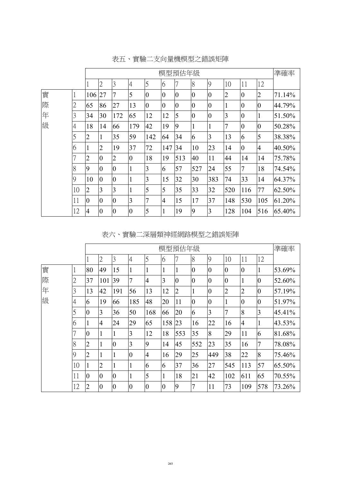|   |                |                | 模型預估年級         |                |                |                |                |                |                |                |                |                |                | 準確率    |
|---|----------------|----------------|----------------|----------------|----------------|----------------|----------------|----------------|----------------|----------------|----------------|----------------|----------------|--------|
|   |                |                | $\overline{2}$ | 3              | $\overline{4}$ | 5              | 6              | 7              | 8              | 9              | 10             | 11             | 12             |        |
| 實 | 1              | 106            | 27             | 7              | 5              | $\overline{0}$ | $\overline{0}$ | $\overline{0}$ | $\overline{0}$ | $\overline{0}$ | $\overline{2}$ | $\overline{0}$ | $\overline{2}$ | 71.14% |
| 際 | $\mathbf{2}$   | 65             | 86             | 27             | 13             | $\overline{0}$ | $\overline{0}$ | $\overline{0}$ | $\overline{0}$ | $\overline{0}$ |                | $\overline{0}$ | $\overline{0}$ | 44.79% |
| 年 | 3              | 34             | 30             | 172            | 65             | 12             | 12             | 5              | $\overline{0}$ | $\overline{0}$ | 3              | $\overline{0}$ | 1              | 51.50% |
| 級 | $\overline{4}$ | 18             | 14             | 66             | 179            | 42             | 19             | 9              |                | $\mathbf{1}$   | 7              | $\overline{0}$ | $\overline{0}$ | 50.28% |
|   | 5              | 2              | 1              | 35             | 59             | 142            | 64             | 34             | 6              | 3              | 13             | 6              | 5              | 38.38% |
|   | 6              |                | $\overline{2}$ | 19             | 37             | 72             | 147            | 34             | 10             | 23             | 14             | $\overline{0}$ | $\overline{4}$ | 40.50% |
|   |                | 2              | $\overline{0}$ | 2              | $\overline{0}$ | 18             | 19             | 513            | 40             | 11             | 44             | 14             | 14             | 75.78% |
|   | 8              | 9              | $\overline{0}$ | $\overline{0}$ |                | 3              | 6              | 57             | 527            | 24             | 55             | 7              | 18             | 74.54% |
|   | 9              | 10             | $\overline{0}$ | $\overline{0}$ |                | 3              | 15             | 32             | 30             | 383            | 74             | 33             | 14             | 64.37% |
|   | 10             | $\overline{2}$ | 3              | 3              |                | 5              | 5              | 35             | 33             | 32             | 520            | 116            | 77             | 62.50% |
|   | 11             | $\overline{0}$ | $\overline{0}$ | $\overline{0}$ | 3              | 7              | $\overline{4}$ | 15             | 17             | 37             | 148            | 530            | 105            | 61.20% |
|   | 12             | $\overline{4}$ | $\overline{0}$ | $\overline{0}$ | $\overline{0}$ | 5              | 1              | 19             | $\overline{9}$ | 3              | 128            | 104            | 516            | 65.40% |

表五、實驗二支向量機模型之錯誤矩陣

# 表六、實驗二深層類神經網路模型之錯誤矩陣

|   |                |                | 模型預估年級         |                |                |                |                |                |                  |                |                |                | 準確率            |        |
|---|----------------|----------------|----------------|----------------|----------------|----------------|----------------|----------------|------------------|----------------|----------------|----------------|----------------|--------|
|   |                |                | $\overline{2}$ | 3              | $\overline{4}$ | $\overline{5}$ | 6              |                | 8                | 9              | 10             | 11             | 12             |        |
| 實 |                | 80             | 49             | 15             | 1              | 1              | 1              | 1              | $\overline{0}$   | $\overline{0}$ | $\overline{0}$ | $\overline{0}$ | 1              | 53.69% |
| 際 | $\overline{2}$ | 37             | 101            | 39             | $\overline{7}$ | $\overline{4}$ | 3              | $\overline{0}$ | $\overline{0}$   | $\overline{0}$ | $\overline{0}$ | 1              | $\overline{0}$ | 52.60% |
| 年 | 3              | 13             | 42             | 191            | 56             | 13             | 12             | $\overline{2}$ | $\mathbf{1}$     | $\overline{0}$ | $\overline{2}$ | $\overline{c}$ | $\overline{0}$ | 57.19% |
| 級 | 4              | 6              | 19             | 66             | 185            | 48             | 20             | 11             | $\boldsymbol{0}$ | $\overline{0}$ | 1              | $\overline{0}$ | $\overline{0}$ | 51.97% |
|   | 5              | $\overline{0}$ | 3              | 36             | 50             | 168            | 66             | 20             | 6                | 3              | 7              | 8              | $\overline{3}$ | 45.41% |
|   | 6              | 1              | $\overline{4}$ | 24             | 29             | 65             | 158            | 23             | 16               | 22             | 16             | $\overline{4}$ | $\mathbf{1}$   | 43.53% |
|   | 7              | $\overline{0}$ |                | 1              | 3              | 12             | 18             | 553            | 35               | 8              | 29             | 11             | 6              | 81.68% |
|   | 8              | $\overline{2}$ | $\mathbf{I}$   | $\overline{0}$ | 3              | 9              | 14             | 45             | 552              | 23             | 35             | 16             | 7              | 78.08% |
|   | 9              | $\overline{2}$ |                | 1              | $\overline{0}$ | $\overline{4}$ | 16             | 29             | 25               | 449            | 38             | 22             | 8              | 75.46% |
|   | 10             | 1              | $\overline{2}$ | $\mathbf{1}$   | $\mathbf{1}$   | 6              | 6              | 37             | 36               | 27             | 545            | 113            | 57             | 65.50% |
|   | 11             | $\overline{0}$ | $\overline{0}$ | $\overline{0}$ |                | 5              | 1              | 18             | 21               | 42             | 102            | 611            | 65             | 70.55% |
|   | 12             | $\overline{2}$ | $\overline{0}$ | $\overline{0}$ | $\overline{0}$ | $\overline{0}$ | $\overline{0}$ | 9              | $\overline{7}$   | 11             | 73             | 109            | 578            | 73.26% |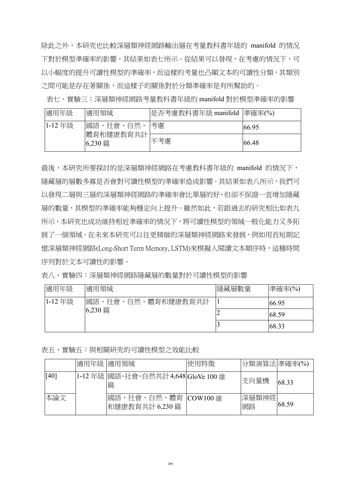除此之外,本研究也比較深層類神經網路輸出層在考量教科書年級的 manifold 的情況 下對於模型準確率的影響,其結果如表七所示。從結果可以發現,在考慮的情況下,可 以小幅度的提升可讀性模型的準確率,而這樣的考量也凸顯文本的可讀性分類,其類別 之間可能是存在著關係,而這樣子的關係對於分類準確率是有所幫助的。

表七、實驗三:深層類神經網路考量教科書年級的 manifold 對於模型準確率的影響

| 適用年級   | 適用領域                 | 是否考慮教科書年級 manifold  準確率(%) |       |
|--------|----------------------|----------------------------|-------|
| 1-12年級 | 國語、社會、自然、            | 考慮                         | 66.95 |
|        | 體育和健康教育共計<br>6,230 篇 | 不考慮                        | 66.48 |

最後,本研究所要探討的是深層類神經網路在考慮教科書年級的 manifold 的情況下, 隱藏層的層數多寡是否會對可讀性模型的準確率造成影響。其結果如表八所示,我們可 以發現二層與三層的深層類神經網路的準確率會比單層的好,但卻不保證一直增加隱藏 層的數量,其模型的準確率能夠穩定向上提升。雖然如此,若跟過去的研究相比如表九 所示,本研究也成功維持相近準確率的情況下,將可讀性模型的領域一般化能力又多拓 展了一個領域。在未來本研究可以往更精緻的深層類神經網路來發展,例如用長短期記 憶深層類神經網路(Long-Short Term Memory, LSTM)來模擬人閱讀文本順序時,這種時間 序列對於文本可讀性的影響。

表八、實驗四:深層類神經網路隱藏層的數量對於可讀性模型的影響

| 適用年級   | 適用領域               | 隱藏層數量 | 準確率(%) |
|--------|--------------------|-------|--------|
| 1-12年級 | 國語、社會、自然、體育和健康教育共計 |       | 66.95  |
|        | 6,230 篇            |       | 68.59  |
|        |                    |       | 68.33  |

表五、實驗五:與相關研究的可讀性模型之效能比較

|      | 適用年級 適用領域 |                                           | 使用特徵 | 分類演算法 準確率(%) |       |
|------|-----------|-------------------------------------------|------|--------------|-------|
| [40] |           | 1-12年級 國語、社會、自然共計 4,648 GloVe 100 維<br>篇  |      | 支向量機         | 68.33 |
| 本論文  |           | 國語、社會、自然、體育  COW100 維<br> 和健康教育共計 6,230 篇 |      | 深層類神經 <br>網路 | 68.59 |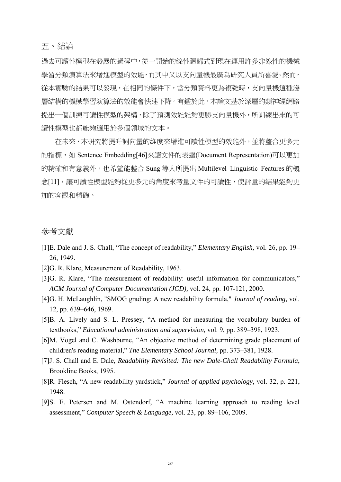### 五、結論

過去可讀性模型在發展的過程中,從一開始的線性廻歸式到現在運用許多非線性的機械 學習分類演算法來增進模型的效能,而其中又以支向量機最廣為研究人員所喜愛。然而, 從本實驗的結果可以發現,在相同的條件下,當分類資料更為複雜時,支向量機這種淺 層結構的機械學習演算法的效能會快速下降。有鑑於此,本論文基於深層的類神經網路 提出一個訓練可讀性模型的架構,除了預測效能能夠更勝支向量機外,所訓練出來的可 讀性模型也都能夠適用於多個領域的文本。

在未來,本研究將提升詞向量的維度來增進可讀性模型的效能外,並將整合更多元 的指標,如 Sentence Embeddin[g\[46\]](#page-15-8)來讓文件的表達(Document Representation)可以更加 的精確和有意義外,也希望能整合 Sung 等人所提出 Multilevel Linguistic Features 的概 念[\[11\]](#page-13-1),讓可讀性模型能夠從更多元的角度來考量文件的可讀性,使評量的結果能夠更 加的客觀和精確。

#### 參考文獻

- <span id="page-12-0"></span>[1]E. Dale and J. S. Chall, "The concept of readability," *Elementary English,* vol. 26, pp. 19– 26, 1949.
- <span id="page-12-1"></span>[2]G. R. Klare, Measurement of Readability, 1963.
- <span id="page-12-2"></span>[3]G. R. Klare, "The measurement of readability: useful information for communicators," *ACM Journal of Computer Documentation (JCD),* vol. 24, pp. 107-121, 2000.
- <span id="page-12-3"></span>[4]G. H. McLaughlin, "SMOG grading: A new readability formula," *Journal of reading,* vol. 12, pp. 639–646, 1969.
- <span id="page-12-4"></span>[5]B. A. Lively and S. L. Pressey, "A method for measuring the vocabulary burden of textbooks," *Educational administration and supervision,* vol. 9, pp. 389–398, 1923.
- <span id="page-12-5"></span>[6]M. Vogel and C. Washburne, "An objective method of determining grade placement of children's reading material," *The Elementary School Journal,* pp. 373–381, 1928.
- <span id="page-12-6"></span>[7]J. S. Chall and E. Dale, *Readability Revisited: The new Dale-Chall Readability Formula*, Brookline Books, 1995.
- <span id="page-12-7"></span>[8]R. Flesch, "A new readability yardstick," *Journal of applied psychology,* vol. 32, p. 221, 1948.
- <span id="page-12-8"></span>[9]S. E. Petersen and M. Ostendorf, "A machine learning approach to reading level assessment," *Computer Speech & Language,* vol. 23, pp. 89–106, 2009.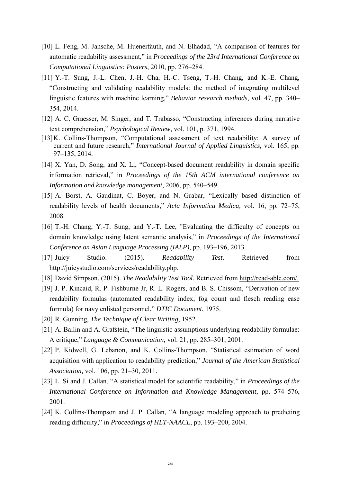- <span id="page-13-0"></span>[10] L. Feng, M. Jansche, M. Huenerfauth, and N. Elhadad, "A comparison of features for automatic readability assessment," in *Proceedings of the 23rd International Conference on Computational Linguistics: Posters*, 2010, pp. 276–284.
- <span id="page-13-1"></span>[11] Y.-T. Sung, J.-L. Chen, J.-H. Cha, H.-C. Tseng, T.-H. Chang, and K.-E. Chang, "Constructing and validating readability models: the method of integrating multilevel linguistic features with machine learning," *Behavior research methods,* vol. 47, pp. 340– 354, 2014.
- <span id="page-13-2"></span>[12] A. C. Graesser, M. Singer, and T. Trabasso, "Constructing inferences during narrative text comprehension," *Psychological Review,* vol. 101, p. 371, 1994.
- <span id="page-13-3"></span>[13]K. Collins-Thompson, "Computational assessment of text readability: A survey of current and future research," *International Journal of Applied Linguistics,* vol. 165, pp. 97–135, 2014.
- <span id="page-13-4"></span>[14] X. Yan, D. Song, and X. Li, "Concept-based document readability in domain specific information retrieval," in *Proceedings of the 15th ACM international conference on Information and knowledge management*, 2006, pp. 540–549.
- <span id="page-13-5"></span>[15] A. Borst, A. Gaudinat, C. Boyer, and N. Grabar, "Lexically based distinction of readability levels of health documents," *Acta Informatica Medica,* vol. 16, pp. 72–75, 2008.
- <span id="page-13-6"></span>[16] T.-H. Chang, Y.-T. Sung, and Y.-T. Lee, "Evaluating the difficulty of concepts on domain knowledge using latent semantic analysis," in *Proceedings of the International Conference on Asian Language Processing (IALP),* pp. 193–196, 2013
- <span id="page-13-7"></span>[17] Juicy Studio. (2015). *Readability Test*. Retrieved from [http://juicystudio.com/services/readability.php.](http://juicystudio.com/services/readability.php)
- <span id="page-13-8"></span>[18] David Simpson. (2015). *The Readability Test Tool*. Retrieved from [http://read-able.com/.](http://read-able.com/)
- <span id="page-13-9"></span>[19] J. P. Kincaid, R. P. Fishburne Jr, R. L. Rogers, and B. S. Chissom, "Derivation of new readability formulas (automated readability index, fog count and flesch reading ease formula) for navy enlisted personnel," *DTIC Document*, 1975.
- <span id="page-13-10"></span>[20] R. Gunning, *The Technique of Clear Writing*, 1952.
- <span id="page-13-11"></span>[21] A. Bailin and A. Grafstein, "The linguistic assumptions underlying readability formulae: A critique," *Language & Communication,* vol. 21, pp. 285–301, 2001.
- <span id="page-13-12"></span>[22] P. Kidwell, G. Lebanon, and K. Collins-Thompson, "Statistical estimation of word acquisition with application to readability prediction," *Journal of the American Statistical Association,* vol. 106, pp. 21–30, 2011.
- <span id="page-13-13"></span>[23] L. Si and J. Callan, "A statistical model for scientific readability," in *Proceedings of the International Conference on Information and Knowledge Management*, pp. 574–576, 2001.
- <span id="page-13-14"></span>[24] K. Collins-Thompson and J. P. Callan, "A language modeling approach to predicting reading difficulty," in *Proceedings of HLT-NAACL*, pp. 193–200, 2004.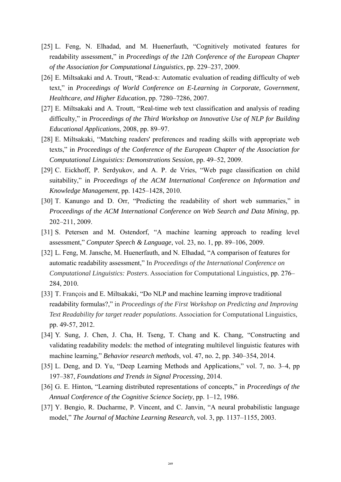- <span id="page-14-0"></span>[25] L. Feng, N. Elhadad, and M. Huenerfauth, "Cognitively motivated features for readability assessment," in *Proceedings of the 12th Conference of the European Chapter of the Association for Computational Linguistics*, pp. 229–237, 2009.
- <span id="page-14-1"></span>[26] E. Miltsakaki and A. Troutt, "Read-x: Automatic evaluation of reading difficulty of web text," in *Proceedings of World Conference on E-Learning in Corporate, Government, Healthcare, and Higher Education*, pp. 7280–7286, 2007.
- <span id="page-14-2"></span>[27] E. Miltsakaki and A. Troutt, "Real-time web text classification and analysis of reading difficulty," in *Proceedings of the Third Workshop on Innovative Use of NLP for Building Educational Applications*, 2008, pp. 89–97.
- <span id="page-14-3"></span>[28] E. Miltsakaki, "Matching readers' preferences and reading skills with appropriate web texts," in *Proceedings of the Conference of the European Chapter of the Association for Computational Linguistics: Demonstrations Session*, pp. 49–52, 2009.
- <span id="page-14-4"></span>[29] C. Eickhoff, P. Serdyukov, and A. P. de Vries, "Web page classification on child suitability," in *Proceedings of the ACM International Conference on Information and Knowledge Management*, pp. 1425–1428, 2010.
- <span id="page-14-5"></span>[30] T. Kanungo and D. Orr, "Predicting the readability of short web summaries," in *Proceedings of the ACM International Conference on Web Search and Data Mining*, pp. 202–211, 2009.
- <span id="page-14-6"></span>[31] S. Petersen and M. Ostendorf, "A machine learning approach to reading level assessment," *Computer Speech & Language*, vol. 23, no. 1, pp. 89–106, 2009.
- <span id="page-14-7"></span>[32] L. Feng, M. Jansche, M. Huenerfauth, and N. Elhadad, "A comparison of features for automatic readability assessment," In *Proceedings of the International Conference on Computational Linguistics: Posters*. Association for Computational Linguistics, pp. 276– 284, 2010.
- [33] T. François and E. Miltsakaki, "Do NLP and machine learning improve traditional readability formulas?," in *Proceedings of the First Workshop on Predicting and Improving Text Readability for target reader populations*. Association for Computational Linguistics, pp. 49-57, 2012.
- <span id="page-14-8"></span>[34] Y. Sung, J. Chen, J. Cha, H. Tseng, T. Chang and K. Chang, "Constructing and validating readability models: the method of integrating multilevel linguistic features with machine learning," *Behavior research methods*, vol. 47, no. 2, pp. 340–354, 2014.
- <span id="page-14-9"></span>[35] L. Deng, and D. Yu, "Deep Learning Methods and Applications," vol. 7, no. 3–4, pp 197–387, *Foundations and Trends in Signal Processing*, 2014.
- <span id="page-14-10"></span>[36] G. E. Hinton, "Learning distributed representations of concepts," in *Proceedings of the Annual Conference of the Cognitive Science Society*, pp. 1–12, 1986.
- <span id="page-14-11"></span>[37] Y. Bengio, R. Ducharme, P. Vincent, and C. Janvin, "A neural probabilistic language model," *The Journal of Machine Learning Research,* vol. 3, pp. 1137–1155, 2003.